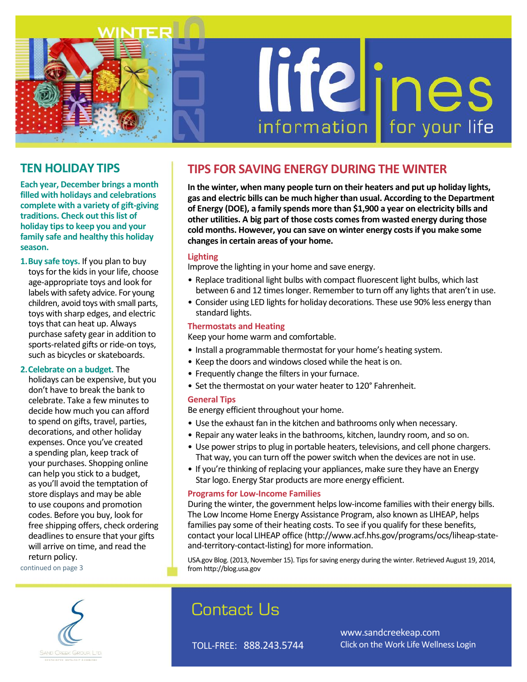

## **TEN HOLIDAY TIPS**

**Each year, December brings a month filled with holidays and celebrations complete with a variety of gift-giving traditions. Check out this list of holiday tips to keep you and your family safe and healthy this holiday season.**

**1.Buy safe toys.** If you plan to buy toys for the kids in your life, choose age-appropriate toys and look for labels with safety advice. For young children, avoid toys with small parts, toys with sharp edges, and electric toys that can heat up. Always purchase safety gear in addition to sports-related gifts or ride-on toys, such as bicycles or skateboards.

#### **2.Celebrate on a budget.** The

holidays can be expensive, but you don't have to break the bank to celebrate. Take a few minutes to decide how much you can afford to spend on gifts, travel, parties, decorations, and other holiday expenses. Once you've created a spending plan, keep track of your purchases. Shopping online can help you stick to a budget, as you'll avoid the temptation of store displays and may be able to use coupons and promotion codes. Before you buy, look for free shipping offers, check ordering deadlines to ensure that your gifts will arrive on time, and read the return policy.

continued on page 3

## **TIPS FOR SAVING ENERGY DURING THE WINTER**

**In the winter, when many people turn on their heaters and put up holiday lights, gas and electric bills can be much higher than usual. According to the Department of Energy (DOE), a family spends more than \$1,900 a year on electricity bills and other utilities. A big part of those costs comes from wasted energy during those cold months. However, you can save on winter energy costs if you make some changes in certain areas of your home.**

#### **Lighting**

Improve the lighting in your home and save energy.

- Replace traditional light bulbs with compact fluorescent light bulbs, which last between 6 and 12 times longer. Remember to turn off any lights that aren't in use.
- Consider using LED lights for holiday decorations. These use 90% less energy than standard lights.

#### **Thermostats and Heating**

Keep your home warm and comfortable.

- Install a programmable thermostat for your home's heating system.
- Keep the doors and windows closed while the heat is on.
- Frequently change the filters in your furnace.
- Set the thermostat on your water heater to 120° Fahrenheit.

#### **General Tips**

Be energy efficient throughout your home.

- Use the exhaust fan in the kitchen and bathrooms only when necessary.
- Repair any water leaks in the bathrooms, kitchen, laundry room, and so on.
- Use power strips to plug in portable heaters, televisions, and cell phone chargers. That way, you can turn off the power switch when the devices are not in use.
- If you're thinking of replacing your appliances, make sure they have an Energy Star logo. Energy Star products are more energy efficient.

#### **Programs for Low-Income Families**

During the winter, the government helps low-income families with their energy bills. The Low Income Home Energy Assistance Program, also known as LIHEAP, helps families pay some of their heating costs. To see if you qualify for these benefits, contact your local LIHEAP office (http://www.acf.hhs.gov/programs/ocs/liheap-stateand-territory-contact-listing) for more information.

USA.gov Blog. (2013, November 15). Tips for saving energy during the winter. Retrieved August 19, 2014, from http://blog.usa.gov



# Contact Us

TOLL-FREE: 888.243.5744

www.sandcreekeap.com Click on the Work Life Wellness Login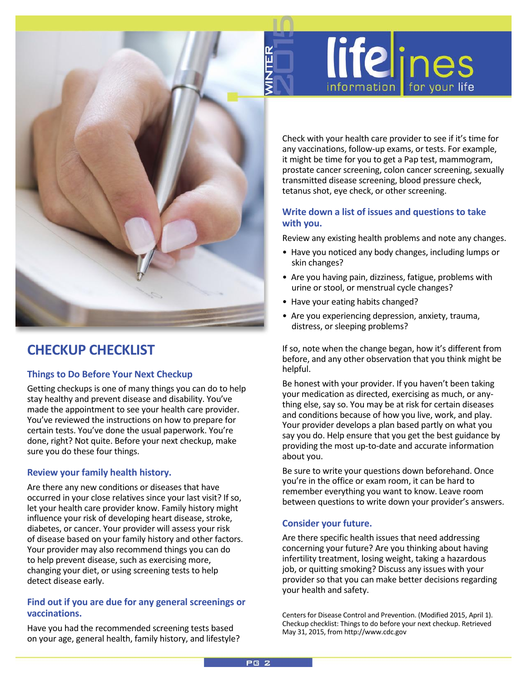

# **CHECKUP CHECKLIST**

## **Things to Do Before Your Next Checkup**

Getting checkups is one of many things you can do to help stay healthy and prevent disease and disability. You've made the appointment to see your health care provider. You've reviewed the instructions on how to prepare for certain tests. You've done the usual paperwork. You're done, right? Not quite. Before your next checkup, make sure you do these four things.

## **Review your family health history.**

Are there any new conditions or diseases that have occurred in your close relatives since your last visit? If so, let your health care provider know. Family history might influence your risk of developing heart disease, stroke, diabetes, or cancer. Your provider will assess your risk of disease based on your family history and other factors. Your provider may also recommend things you can do to help prevent disease, such as exercising more, changing your diet, or using screening tests to help detect disease early.

## **Find out if you are due for any general screenings or vaccinations.**

Have you had the recommended screening tests based on your age, general health, family history, and lifestyle? Check with your health care provider to see if it's time for any vaccinations, follow-up exams, or tests. For example, it might be time for you to get a Pap test, mammogram, prostate cancer screening, colon cancer screening, sexually transmitted disease screening, blood pressure check, tetanus shot, eye check, or other screening.

lifelines

**for your life** 

*information* 

## **Write down a list of issues and questions to take with you.**

Review any existing health problems and note any changes.

- Have you noticed any body changes, including lumps or skin changes?
- Are you having pain, dizziness, fatigue, problems with urine or stool, or menstrual cycle changes?
- Have your eating habits changed?
- Are you experiencing depression, anxiety, trauma, distress, or sleeping problems?

If so, note when the change began, how it's different from before, and any other observation that you think might be helpful.

Be honest with your provider. If you haven't been taking your medication as directed, exercising as much, or anything else, say so. You may be at risk for certain diseases and conditions because of how you live, work, and play. Your provider develops a plan based partly on what you say you do. Help ensure that you get the best guidance by providing the most up-to-date and accurate information about you.

Be sure to write your questions down beforehand. Once you're in the office or exam room, it can be hard to remember everything you want to know. Leave room between questions to write down your provider's answers.

## **Consider your future.**

Are there specific health issues that need addressing concerning your future? Are you thinking about having infertility treatment, losing weight, taking a hazardous job, or quitting smoking? Discuss any issues with your provider so that you can make better decisions regarding your health and safety.

Centers for Disease Control and Prevention. (Modified 2015, April 1). Checkup checklist: Things to do before your next checkup. Retrieved May 31, 2015, from http://www.cdc.gov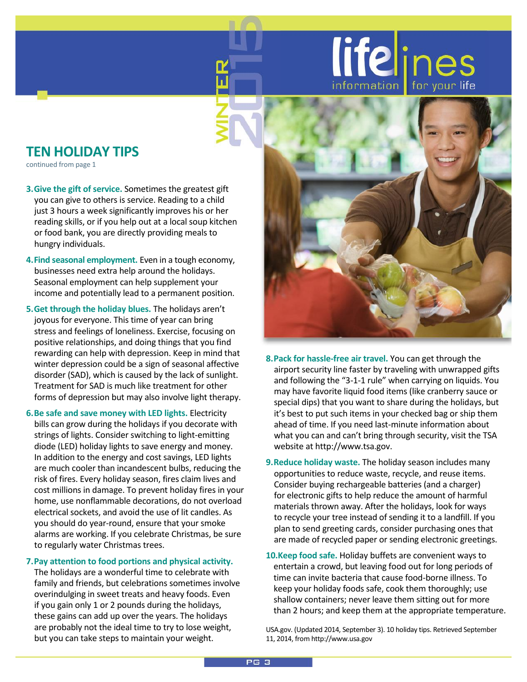# lifelines information

# **TEN HOLIDAY TIPS**

continued from page 1

- **3.Give the gift of service.** Sometimes the greatest gift you can give to others is service. Reading to a child just 3 hours a week significantly improves his or her reading skills, or if you help out at a local soup kitchen or food bank, you are directly providing meals to hungry individuals.
- **4.Find seasonal employment.** Even in a tough economy, businesses need extra help around the holidays. Seasonal employment can help supplement your income and potentially lead to a permanent position.
- **5.Get through the holiday blues.** The holidays aren't joyous for everyone. This time of year can bring stress and feelings of loneliness. Exercise, focusing on positive relationships, and doing things that you find rewarding can help with depression. Keep in mind that winter depression could be a sign of seasonal affective disorder (SAD), which is caused by the lack of sunlight. Treatment for SAD is much like treatment for other forms of depression but may also involve light therapy.
- **6.Be safe and save money with LED lights.** Electricity bills can grow during the holidays if you decorate with strings of lights. Consider switching to light-emitting diode (LED) holiday lights to save energy and money. In addition to the energy and cost savings, LED lights are much cooler than incandescent bulbs, reducing the risk of fires. Every holiday season, fires claim lives and cost millions in damage. To prevent holiday fires in your home, use nonflammable decorations, do not overload electrical sockets, and avoid the use of lit candles. As you should do year-round, ensure that your smoke alarms are working. If you celebrate Christmas, be sure to regularly water Christmas trees.

#### **7.Pay attention to food portions and physical activity.**

The holidays are a wonderful time to celebrate with family and friends, but celebrations sometimes involve overindulging in sweet treats and heavy foods. Even if you gain only 1 or 2 pounds during the holidays, these gains can add up over the years. The holidays are probably not the ideal time to try to lose weight, but you can take steps to maintain your weight.



- **8.Pack for hassle-free air travel.** You can get through the airport security line faster by traveling with unwrapped gifts and following the "3-1-1 rule" when carrying on liquids. You may have favorite liquid food items (like cranberry sauce or special dips) that you want to share during the holidays, but it's best to put such items in your checked bag or ship them ahead of time. If you need last-minute information about what you can and can't bring through security, visit the TSA website at http://www.tsa.gov.
- **9.Reduce holiday waste.** The holiday season includes many opportunities to reduce waste, recycle, and reuse items. Consider buying rechargeable batteries (and a charger) for electronic gifts to help reduce the amount of harmful materials thrown away. After the holidays, look for ways to recycle your tree instead of sending it to a landfill. If you plan to send greeting cards, consider purchasing ones that are made of recycled paper or sending electronic greetings.
- **10.Keep food safe.** Holiday buffets are convenient ways to entertain a crowd, but leaving food out for long periods of time can invite bacteria that cause food-borne illness. To keep your holiday foods safe, cook them thoroughly; use shallow containers; never leave them sitting out for more than 2 hours; and keep them at the appropriate temperature.

USA.gov. (Updated 2014, September 3). 10 holiday tips. Retrieved September 11, 2014, from http://www.usa.gov